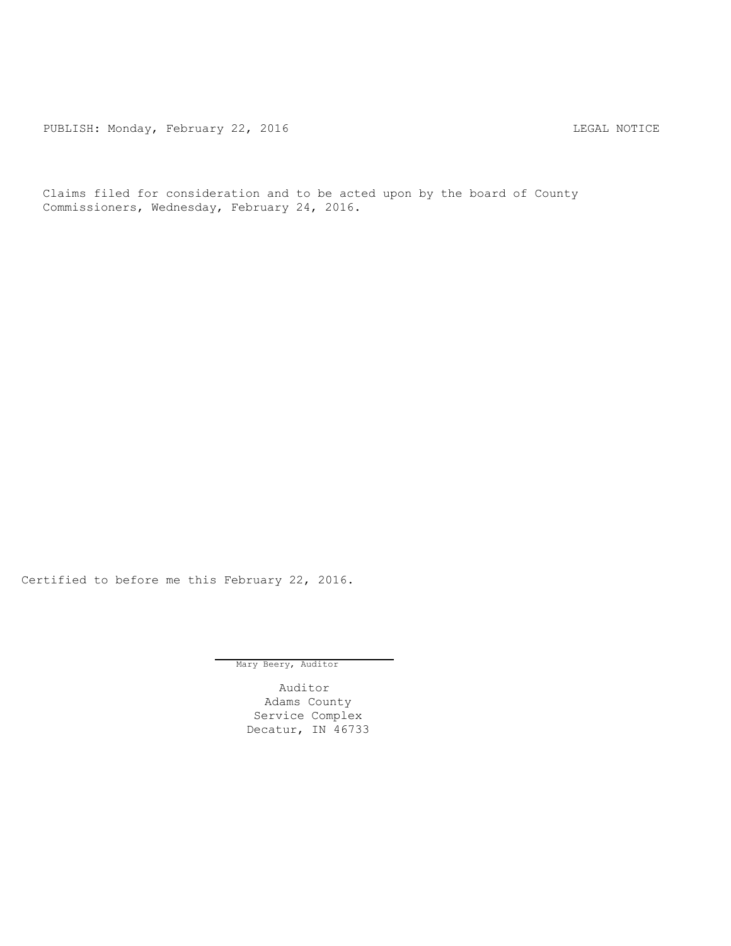PUBLISH: Monday, February 22, 2016 CHA CHANGE CONSTRUCTED MOTICE

Claims filed for consideration and to be acted upon by the board of County Commissioners, Wednesday, February 24, 2016.

Certified to before me this February 22, 2016.

Mary Beery, Auditor

Auditor Adams County Service Complex Decatur, IN 46733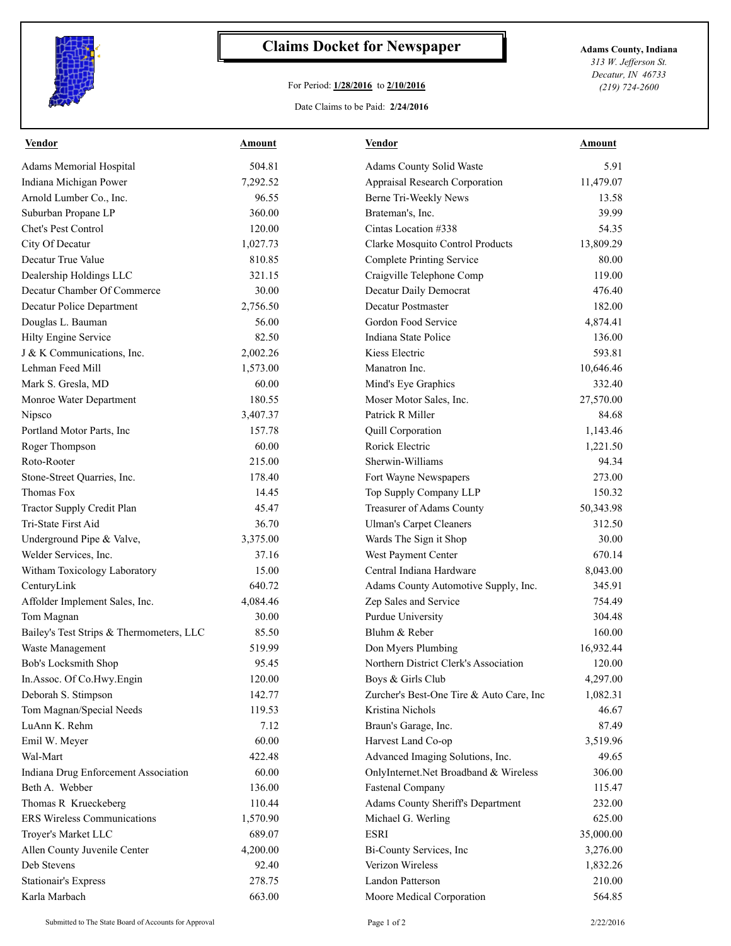

## **Claims Docket for Newspaper Adams County, Indiana**

## For Period: **1/28/2016** to **2/10/2016**

*313 W. Jefferson St. Decatur, IN 46733 (219) 724-2600*

Date Claims to be Paid: **2/24/2016**

| <b>Vendor</b>                            | Amount   | <b>Vendor</b>                            | Amount    |
|------------------------------------------|----------|------------------------------------------|-----------|
| Adams Memorial Hospital                  | 504.81   | Adams County Solid Waste                 | 5.91      |
| Indiana Michigan Power                   | 7,292.52 | Appraisal Research Corporation           | 11,479.07 |
| Arnold Lumber Co., Inc.                  | 96.55    | Berne Tri-Weekly News                    | 13.58     |
| Suburban Propane LP                      | 360.00   | Brateman's, Inc.                         | 39.99     |
| Chet's Pest Control                      | 120.00   | Cintas Location #338                     | 54.35     |
| City Of Decatur                          | 1,027.73 | Clarke Mosquito Control Products         | 13,809.29 |
| Decatur True Value                       | 810.85   | <b>Complete Printing Service</b>         | 80.00     |
| Dealership Holdings LLC                  | 321.15   | Craigville Telephone Comp                | 119.00    |
| Decatur Chamber Of Commerce              | 30.00    | Decatur Daily Democrat                   | 476.40    |
| Decatur Police Department                | 2,756.50 | Decatur Postmaster                       | 182.00    |
| Douglas L. Bauman                        | 56.00    | Gordon Food Service                      | 4,874.41  |
| Hilty Engine Service                     | 82.50    | Indiana State Police                     | 136.00    |
| J & K Communications, Inc.               | 2,002.26 | Kiess Electric                           | 593.81    |
| Lehman Feed Mill                         | 1,573.00 | Manatron Inc.                            | 10,646.46 |
| Mark S. Gresla, MD                       | 60.00    | Mind's Eye Graphics                      | 332.40    |
| Monroe Water Department                  | 180.55   | Moser Motor Sales, Inc.                  | 27,570.00 |
| Nipsco                                   | 3,407.37 | Patrick R Miller                         | 84.68     |
| Portland Motor Parts, Inc                | 157.78   | Quill Corporation                        | 1,143.46  |
| Roger Thompson                           | 60.00    | Rorick Electric                          | 1,221.50  |
| Roto-Rooter                              | 215.00   | Sherwin-Williams                         | 94.34     |
| Stone-Street Quarries, Inc.              | 178.40   | Fort Wayne Newspapers                    | 273.00    |
| Thomas Fox                               | 14.45    | Top Supply Company LLP                   | 150.32    |
| Tractor Supply Credit Plan               | 45.47    | Treasurer of Adams County                | 50,343.98 |
| Tri-State First Aid                      | 36.70    | <b>Ulman's Carpet Cleaners</b>           | 312.50    |
| Underground Pipe & Valve,                | 3,375.00 | Wards The Sign it Shop                   | 30.00     |
| Welder Services, Inc.                    | 37.16    | West Payment Center                      | 670.14    |
| Witham Toxicology Laboratory             | 15.00    | Central Indiana Hardware                 | 8,043.00  |
| CenturyLink                              | 640.72   | Adams County Automotive Supply, Inc.     | 345.91    |
| Affolder Implement Sales, Inc.           | 4,084.46 | Zep Sales and Service                    | 754.49    |
| Tom Magnan                               | 30.00    | Purdue University                        | 304.48    |
| Bailey's Test Strips & Thermometers, LLC | 85.50    | Bluhm & Reber                            | 160.00    |
| Waste Management                         | 519.99   | Don Myers Plumbing                       | 16,932.44 |
| Bob's Locksmith Shop                     | 95.45    | Northern District Clerk's Association    | 120.00    |
| In Assoc. Of Co. Hwy. Engin              | 120.00   | Boys & Girls Club                        | 4,297.00  |
| Deborah S. Stimpson                      | 142.77   | Zurcher's Best-One Tire & Auto Care, Inc | 1,082.31  |
| Tom Magnan/Special Needs                 | 119.53   | Kristina Nichols                         | 46.67     |
| LuAnn K. Rehm                            | 7.12     | Braun's Garage, Inc.                     | 87.49     |
| Emil W. Meyer                            | 60.00    | Harvest Land Co-op                       | 3,519.96  |
| Wal-Mart                                 | 422.48   | Advanced Imaging Solutions, Inc.         | 49.65     |
| Indiana Drug Enforcement Association     | 60.00    | OnlyInternet.Net Broadband & Wireless    | 306.00    |
| Beth A. Webber                           | 136.00   | Fastenal Company                         | 115.47    |
| Thomas R Krueckeberg                     | 110.44   | Adams County Sheriff's Department        | 232.00    |
| ERS Wireless Communications              | 1,570.90 | Michael G. Werling                       | 625.00    |
| Troyer's Market LLC                      | 689.07   | <b>ESRI</b>                              | 35,000.00 |
| Allen County Juvenile Center             | 4,200.00 | Bi-County Services, Inc                  | 3,276.00  |
| Deb Stevens                              | 92.40    | Verizon Wireless                         | 1,832.26  |
| <b>Stationair's Express</b>              | 278.75   | Landon Patterson                         | 210.00    |
| Karla Marbach                            | 663.00   | Moore Medical Corporation                | 564.85    |